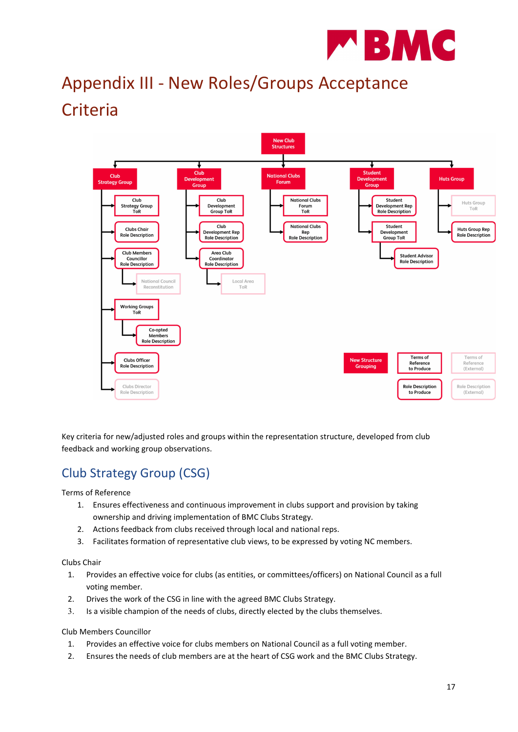

# Appendix III - New Roles/Groups Acceptance **Criteria**



Key criteria for new/adjusted roles and groups within the representation structure, developed from club feedback and working group observations.

## Club Strategy Group (CSG)

Terms of Reference

- 1. Ensures effectiveness and continuous improvement in clubs support and provision by taking ownership and driving implementation of BMC Clubs Strategy.
- 2. Actions feedback from clubs received through local and national reps.
- 3. Facilitates formation of representative club views, to be expressed by voting NC members.

Clubs Chair

- 1. Provides an effective voice for clubs (as entities, or committees/officers) on National Council as a full voting member.
- 2. Drives the work of the CSG in line with the agreed BMC Clubs Strategy.
- 3. Is a visible champion of the needs of clubs, directly elected by the clubs themselves.

Club Members Councillor

- 1. Provides an effective voice for clubs members on National Council as a full voting member.
- 2. Ensures the needs of club members are at the heart of CSG work and the BMC Clubs Strategy.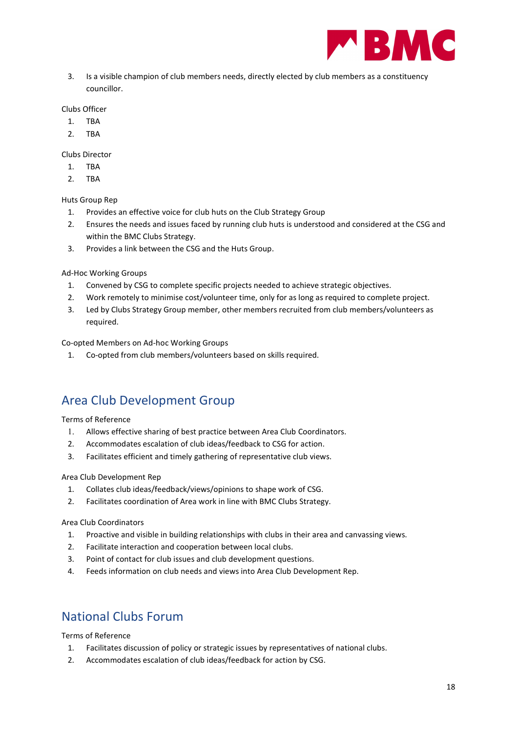

3. Is a visible champion of club members needs, directly elected by club members as a constituency councillor.

#### Clubs Officer

- 1. TBA
- 2. TBA

Clubs Director

- 1. TBA
- 2. TBA

Huts Group Rep

- 1. Provides an effective voice for club huts on the Club Strategy Group
- 2. Ensures the needs and issues faced by running club huts is understood and considered at the CSG and within the BMC Clubs Strategy.
- 3. Provides a link between the CSG and the Huts Group.

#### Ad-Hoc Working Groups

- 1. Convened by CSG to complete specific projects needed to achieve strategic objectives.
- 2. Work remotely to minimise cost/volunteer time, only for as long as required to complete project.
- 3. Led by Clubs Strategy Group member, other members recruited from club members/volunteers as required.

#### Co-opted Members on Ad-hoc Working Groups

1. Co-opted from club members/volunteers based on skills required.

## Area Club Development Group

#### Terms of Reference

- 1. Allows effective sharing of best practice between Area Club Coordinators.
- 2. Accommodates escalation of club ideas/feedback to CSG for action.
- 3. Facilitates efficient and timely gathering of representative club views.

#### Area Club Development Rep

- 1. Collates club ideas/feedback/views/opinions to shape work of CSG.
- 2. Facilitates coordination of Area work in line with BMC Clubs Strategy.

#### Area Club Coordinators

- 1. Proactive and visible in building relationships with clubs in their area and canvassing views.
- 2. Facilitate interaction and cooperation between local clubs.
- 3. Point of contact for club issues and club development questions.
- 4. Feeds information on club needs and views into Area Club Development Rep.

### National Clubs Forum

Terms of Reference

- 1. Facilitates discussion of policy or strategic issues by representatives of national clubs.
- 2. Accommodates escalation of club ideas/feedback for action by CSG.